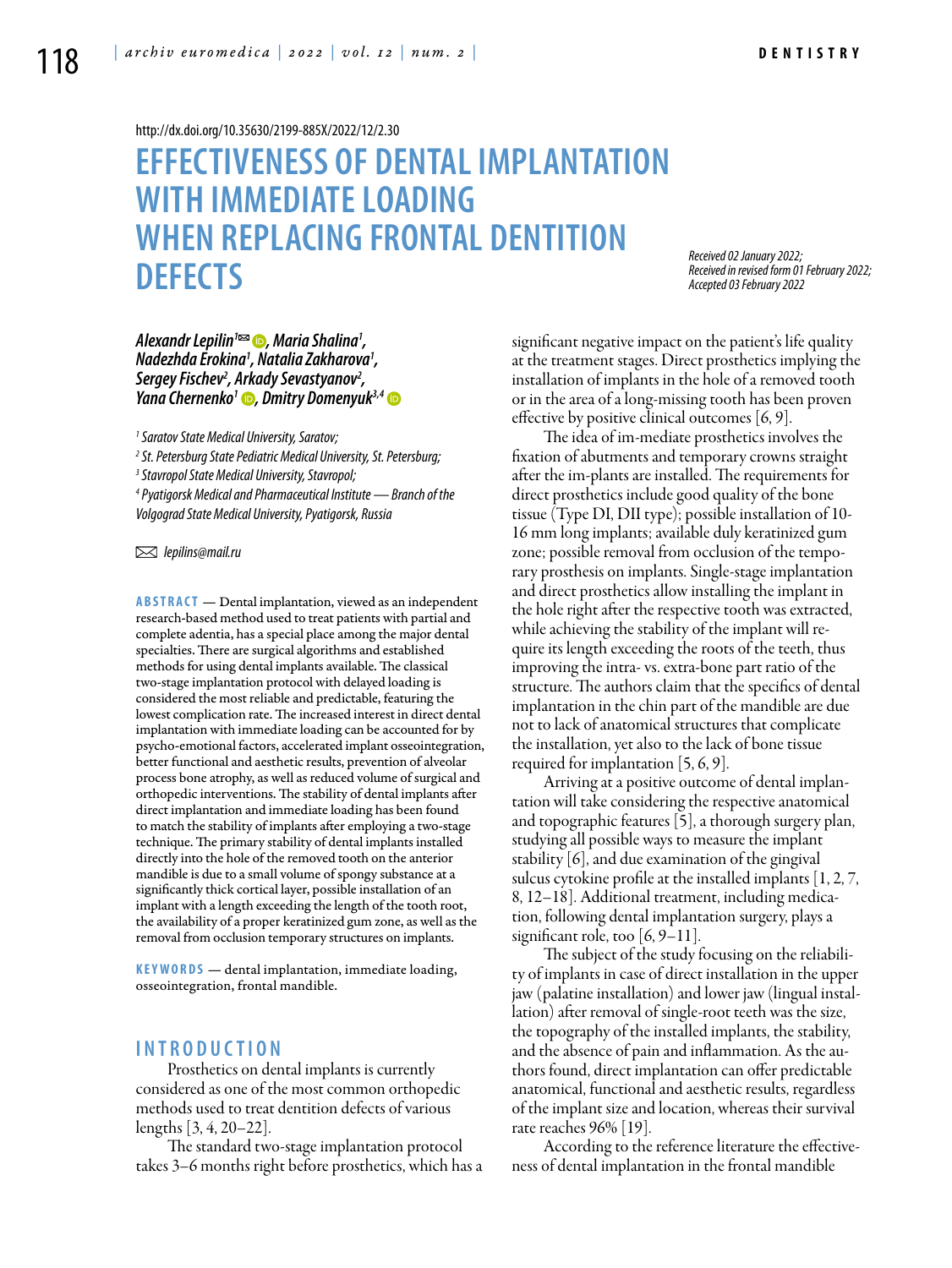<http://dx.doi.org/10.35630/2199-885X/2022/12/2.30>

# **EFFECTIVENESS OF DENTAL IMPLANTATION WITH IMMEDIATE LOADING WHEN REPLACING FRONTAL DENTITION DEFECTS**

*Received 02 January 2022; Received in revised form 01 February 2022; Accepted 03 February 2022*

*[Alexandr Lepilin](https://orcid.org/0000-0001-6940-5178)1 , Maria Shalina1 , Nadezhda Erokina1 , Natalia Zakharova1 , Sergey Fischev2 , Arkady Sevastyanov2 , [Yana Chernenko](https://orcid.org/0000-0003-0496-2402)1 , [Dmitry Domenyuk](https://orcid.org/0000-0003-4022-5020)3,4*

*1 Saratov State Medical University, Saratov;*

*2 St. Petersburg State Pediatric Medical University, St. Petersburg;* 

*3 Stavropol State Medical University, Stavropol;*

*4 Pyatigorsk Medical and Pharmaceutical Institute — Branch of the Volgograd State Medical University, Pyatigorsk, Russia*

 *lepilins@mail.ru*

**Abstract** — Dental implantation, viewed as an independent research-based method used to treat patients with partial and complete adentia, has a special place among the major dental specialties. There are surgical algorithms and established methods for using dental implants available. The classical two-stage implantation protocol with delayed loading is considered the most reliable and predictable, featuring the lowest complication rate. The increased interest in direct dental implantation with immediate loading can be accounted for by psycho-emotional factors, accelerated implant osseointegration, better functional and aesthetic results, prevention of alveolar process bone atrophy, as well as reduced volume of surgical and orthopedic interventions. The stability of dental implants after direct implantation and immediate loading has been found to match the stability of implants after employing a two-stage technique. The primary stability of dental implants installed directly into the hole of the removed tooth on the anterior mandible is due to a small volume of spongy substance at a significantly thick cortical layer, possible installation of an implant with a length exceeding the length of the tooth root, the availability of a proper keratinized gum zone, as well as the removal from occlusion temporary structures on implants.

**K eywords** — dental implantation, immediate loading, osseointegration, frontal mandible.

## **I n t r o ducti o n**

Prosthetics on dental implants is currently considered as one of the most common orthopedic methods used to treat dentition defects of various lengths [3, 4, 20–22].

The standard two-stage implantation protocol takes 3–6 months right before prosthetics, which has a significant negative impact on the patient's life quality at the treatment stages. Direct prosthetics implying the installation of implants in the hole of a removed tooth or in the area of a long-missing tooth has been proven effective by positive clinical outcomes [6, 9].

The idea of im-mediate prosthetics involves the fixation of abutments and temporary crowns straight after the im-plants are installed. The requirements for direct prosthetics include good quality of the bone tissue (Type DI, DII type); possible installation of 10- 16 mm long implants; available duly keratinized gum zone; possible removal from occlusion of the temporary prosthesis on implants. Single-stage implantation and direct prosthetics allow installing the implant in the hole right after the respective tooth was extracted, while achieving the stability of the implant will require its length exceeding the roots of the teeth, thus improving the intra- vs. extra-bone part ratio of the structure. The authors claim that the specifics of dental implantation in the chin part of the mandible are due not to lack of anatomical structures that complicate the installation, yet also to the lack of bone tissue required for implantation [5, 6, 9].

Arriving at a positive outcome of dental implantation will take considering the respective anatomical and topographic features [5], a thorough surgery plan, studying all possible ways to measure the implant stability [6], and due examination of the gingival sulcus cytokine profile at the installed implants [1, 2, 7, 8, 12–18]. Additional treatment, including medication, following dental implantation surgery, plays a significant role, too  $[6, 9-11]$ .

The subject of the study focusing on the reliability of implants in case of direct installation in the upper jaw (palatine installation) and lower jaw (lingual installation) after removal of single-root teeth was the size, the topography of the installed implants, the stability, and the absence of pain and inflammation. As the authors found, direct implantation can offer predictable anatomical, functional and aesthetic results, regardless of the implant size and location, whereas their survival rate reaches 96% [19].

According to the reference literature the effectiveness of dental implantation in the frontal mandible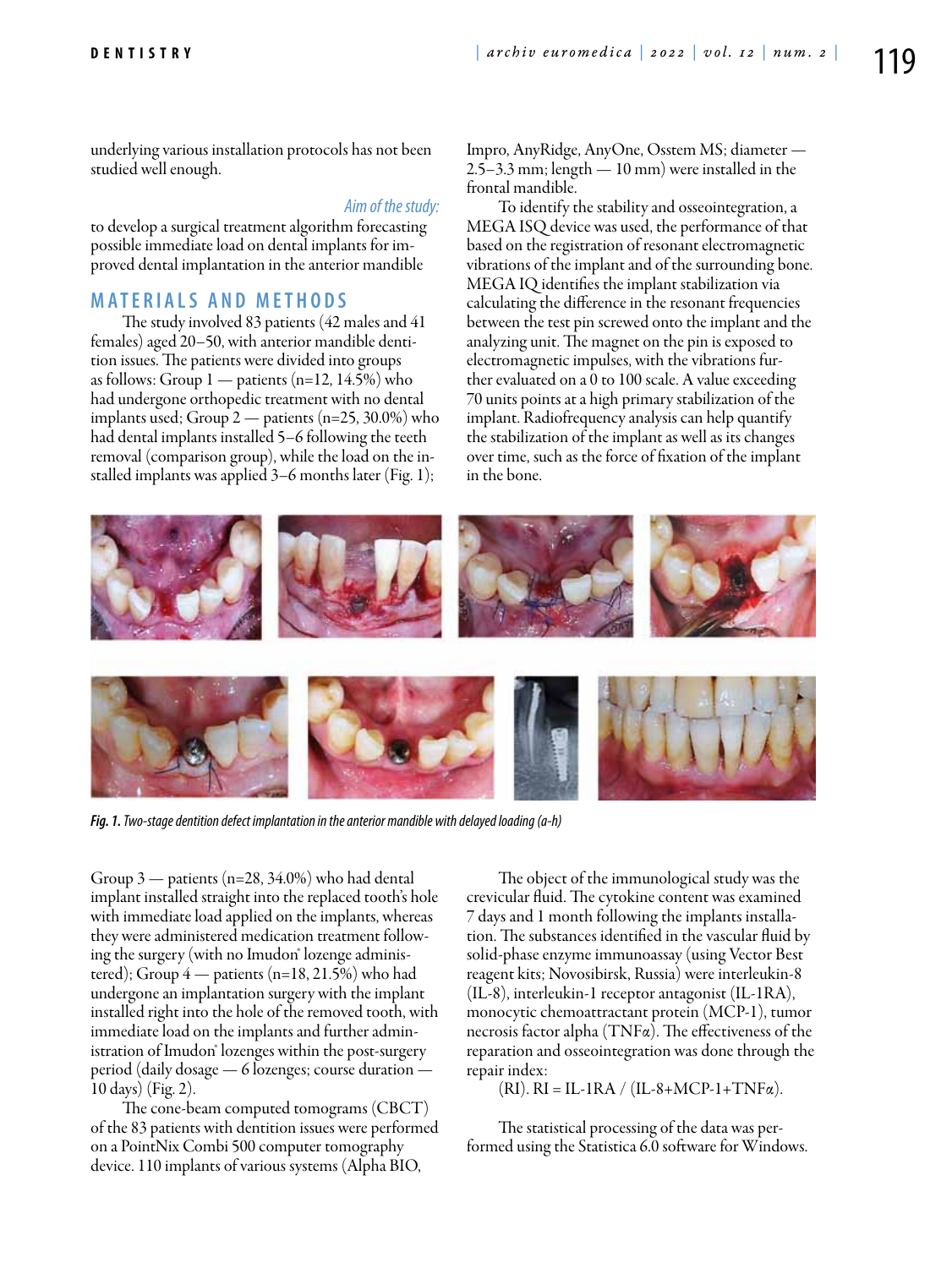underlying various installation protocols has not been studied well enough.

#### *Aim of the study:*

to develop a surgical treatment algorithm forecasting possible immediate load on dental implants for improved dental implantation in the anterior mandible

### **M ATE R I A LS A N D MET H O D S**

The study involved 83 patients (42 males and 41 females) aged 20–50, with anterior mandible dentition issues. The patients were divided into groups as follows: Group  $1$  — patients (n=12, 14.5%) who had undergone orthopedic treatment with no dental implants used; Group 2 — patients (n=25, 30.0%) who had dental implants installed 5–6 following the teeth removal (comparison group), while the load on the installed implants was applied 3–6 months later (Fig. 1);

Impro, AnyRidge, AnyOne, Osstem MS; diameter — 2.5–3.3 mm; length — 10 mm) were installed in the frontal mandible.

To identify the stability and osseointegration, a MEGA ISQ device was used, the performance of that based on the registration of resonant electromagnetic vibrations of the implant and of the surrounding bone. MEGA IQ identifies the implant stabilization via calculating the difference in the resonant frequencies between the test pin screwed onto the implant and the analyzing unit. The magnet on the pin is exposed to electromagnetic impulses, with the vibrations further evaluated on a 0 to 100 scale. A value exceeding 70 units points at a high primary stabilization of the implant. Radiofrequency analysis can help quantify the stabilization of the implant as well as its changes over time, such as the force of fixation of the implant in the bone.



*Fig. 1. Two-stage dentition defect implantation in the anterior mandible with delayed loading (а-h)*

Group 3 — patients (n=28, 34.0%) who had dental implant installed straight into the replaced tooth's hole with immediate load applied on the implants, whereas they were administered medication treatment following the surgery (with no Imudon<sup>®</sup> lozenge administered); Group 4 — patients (n=18, 21.5%) who had undergone an implantation surgery with the implant installed right into the hole of the removed tooth, with immediate load on the implants and further administration of Imudon<sup>®</sup> lozenges within the post-surgery period (daily dosage — 6 lozenges; course duration — 10 days) (Fig. 2).

The cone-beam computed tomograms (CBCT) of the 83 patients with dentition issues were performed on a PointNix Combi 500 computer tomography device. 110 implants of various systems (Alpha BIO,

The object of the immunological study was the crevicular fluid. The cytokine content was examined 7 days and 1 month following the implants installation. The substances identified in the vascular fluid by solid-phase enzyme immunoassay (using Vector Best reagent kits; Novosibirsk, Russia) were interleukin-8 (IL-8), interleukin-1 receptor antagonist (IL-1RA), monocytic chemoattractant protein (MCP-1), tumor necrosis factor alpha (TNFα). The effectiveness of the reparation and osseointegration was done through the repair index:

 $(RI)$ . RI = IL-1RA / (IL-8+MCP-1+TNF $\alpha$ ).

The statistical processing of the data was performed using the Statistica 6.0 software for Windows.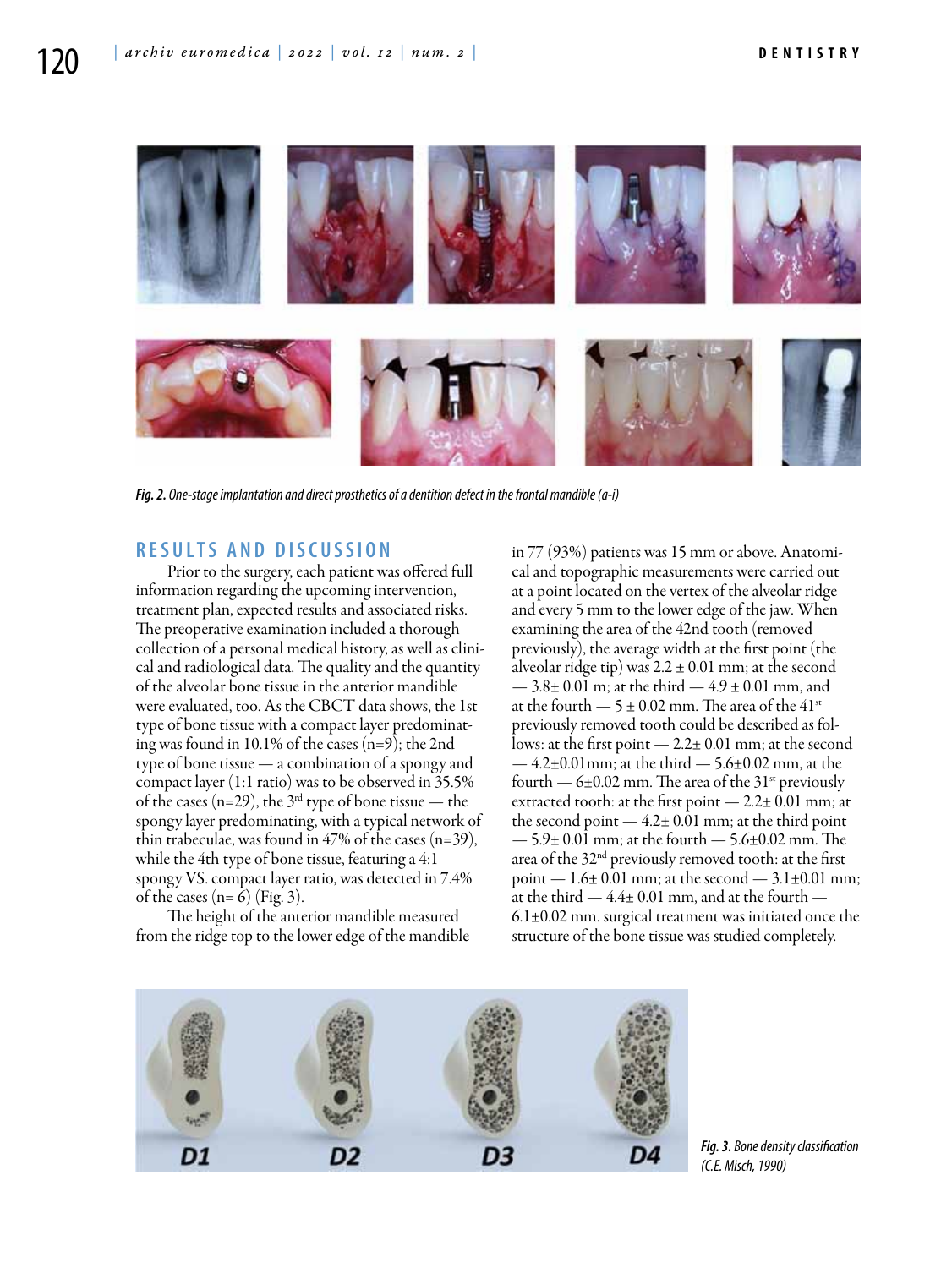

*Fig. 2. One-stage implantation and direct prosthetics of a dentition defect in the frontal mandible (а-i)*

# **R ES U LTS A N D D ISC U SSI ON**

Prior to the surgery, each patient was offered full information regarding the upcoming intervention, treatment plan, expected results and associated risks. The preoperative examination included a thorough collection of a personal medical history, as well as clinical and radiological data. The quality and the quantity of the alveolar bone tissue in the anterior mandible were evaluated, too. As the CBCT data shows, the 1st type of bone tissue with a compact layer predominating was found in 10.1% of the cases (n=9); the 2nd type of bone tissue — a combination of a spongy and compact layer (1:1 ratio) was to be observed in 35.5% of the cases (n=29), the  $3<sup>rd</sup>$  type of bone tissue — the spongy layer predominating, with a typical network of thin trabeculae, was found in  $47\%$  of the cases (n=39), while the 4th type of bone tissue, featuring a 4:1 spongy VS. compact layer ratio, was detected in 7.4% of the cases  $(n=6)$  (Fig. 3).

The height of the anterior mandible measured from the ridge top to the lower edge of the mandible in 77 (93%) patients was 15 mm or above. Anatomical and topographic measurements were carried out at a point located on the vertex of the alveolar ridge and every 5 mm to the lower edge of the jaw. When examining the area of the 42nd tooth (removed previously), the average width at the first point (the alveolar ridge tip) was  $2.2 \pm 0.01$  mm; at the second  $-3.8\pm0.01$  m; at the third  $-4.9\pm0.01$  mm, and at the fourth  $-5 \pm 0.02$  mm. The area of the 41<sup>st</sup> previously removed tooth could be described as follows: at the first point — 2.2± 0.01 mm; at the second  $-4.2\pm0.01$  mm; at the third  $-5.6\pm0.02$  mm, at the fourth  $-6\pm0.02$  mm. The area of the 31<sup>st</sup> previously extracted tooth: at the first point — 2.2± 0.01 mm; at the second point  $-4.2 \pm 0.01$  mm; at the third point  $-5.9\pm0.01$  mm; at the fourth  $-5.6\pm0.02$  mm. The area of the 32nd previously removed tooth: at the first point  $-1.6\pm0.01$  mm; at the second  $-3.1\pm0.01$  mm; at the third  $-4.4\pm0.01$  mm, and at the fourth  $-$ 6.1±0.02 mm. surgical treatment was initiated once the structure of the bone tissue was studied completely.



*Fig. 3. Bone density classification (С.Е. Misch, 1990)*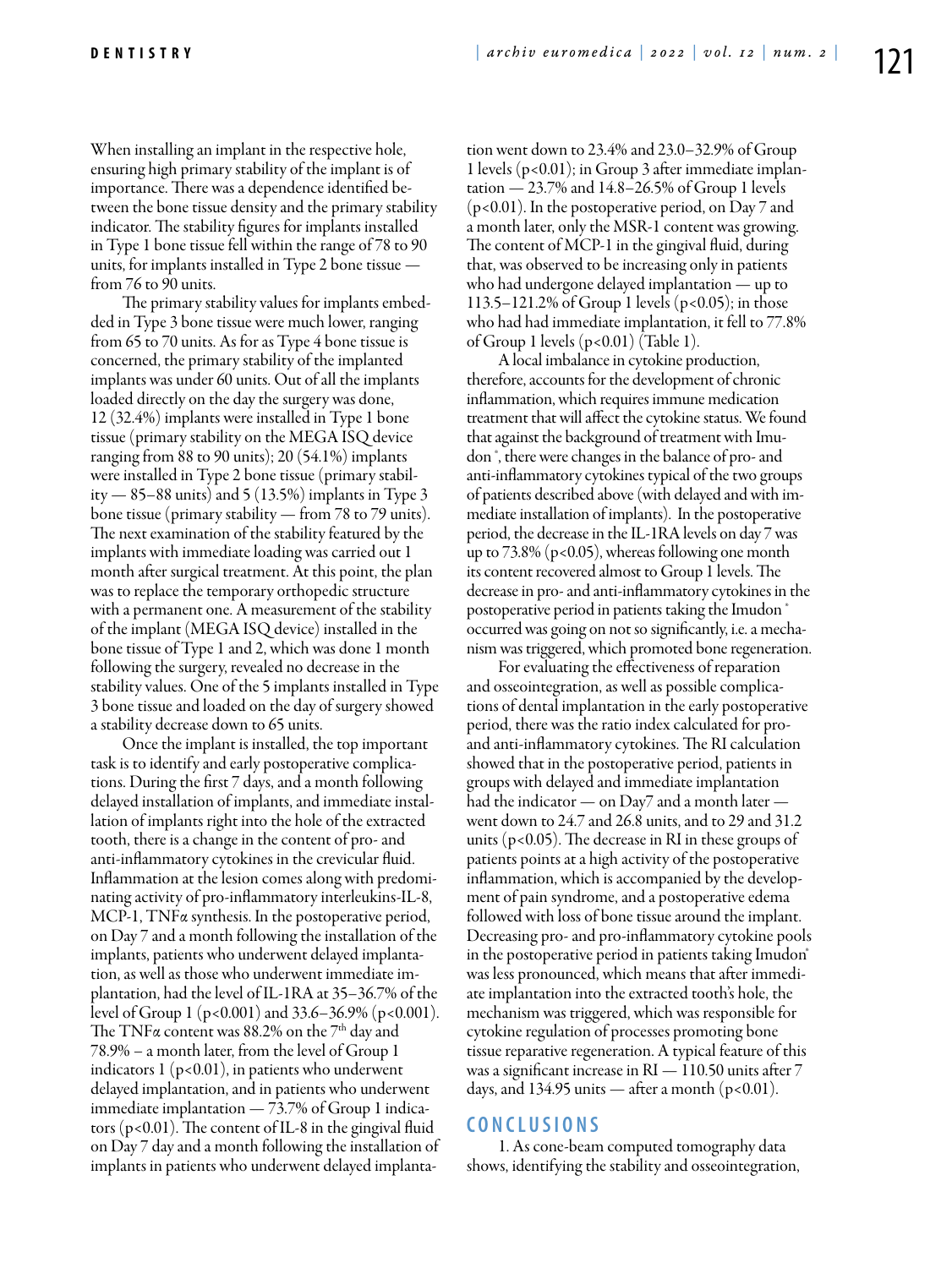When installing an implant in the respective hole, ensuring high primary stability of the implant is of importance. There was a dependence identified between the bone tissue density and the primary stability indicator. The stability figures for implants installed in Type 1 bone tissue fell within the range of 78 to 90 units, for implants installed in Type 2 bone tissue from 76 to 90 units.

The primary stability values for implants embedded in Type 3 bone tissue were much lower, ranging from 65 to 70 units. As for as Type 4 bone tissue is concerned, the primary stability of the implanted implants was under 60 units. Out of all the implants loaded directly on the day the surgery was done, 12 (32.4%) implants were installed in Type 1 bone tissue (primary stability on the MEGA ISQ device ranging from 88 to 90 units); 20 (54.1%) implants were installed in Type 2 bone tissue (primary stability  $-85-88$  units) and  $5(13.5%)$  implants in Type 3 bone tissue (primary stability — from 78 to 79 units). The next examination of the stability featured by the implants with immediate loading was carried out 1 month after surgical treatment. At this point, the plan was to replace the temporary orthopedic structure with a permanent one. A measurement of the stability of the implant (MEGA ISQ device) installed in the bone tissue of Type 1 and 2, which was done 1 month following the surgery, revealed no decrease in the stability values. One of the 5 implants installed in Type 3 bone tissue and loaded on the day of surgery showed a stability decrease down to 65 units.

Once the implant is installed, the top important task is to identify and early postoperative complications. During the first 7 days, and a month following delayed installation of implants, and immediate installation of implants right into the hole of the extracted tooth, there is a change in the content of pro- and anti-inflammatory cytokines in the crevicular fluid. Inflammation at the lesion comes along with predominating activity of pro-inflammatory interleukins-IL-8, MCP-1, TNFα synthesis. In the postoperative period, on Day 7 and a month following the installation of the implants, patients who underwent delayed implantation, as well as those who underwent immediate implantation, had the level of IL-1RA at 35–36.7% of the level of Group 1 (p<0.001) and 33.6–36.9% (p<0.001). The TNF $\alpha$  content was 88.2% on the  $7<sup>th</sup>$  day and 78.9% – a month later, from the level of Group 1 indicators  $1 (p<0.01)$ , in patients who underwent delayed implantation, and in patients who underwent immediate implantation — 73.7% of Group 1 indicators ( $p$ <0.01). The content of IL-8 in the gingival fluid on Day 7 day and a month following the installation of implants in patients who underwent delayed implantation went down to 23.4% and 23.0–32.9% of Group 1 levels (p<0.01); in Group 3 after immediate implantation — 23.7% and 14.8–26.5% of Group 1 levels (p<0.01). In the postoperative period, on Day 7 and a month later, only the MSR-1 content was growing. The content of MCP-1 in the gingival fluid, during that, was observed to be increasing only in patients who had undergone delayed implantation — up to 113.5–121.2% of Group 1 levels (p<0.05); in those who had had immediate implantation, it fell to 77.8% of Group 1 levels  $(p<0.01)$  (Table 1).

A local imbalance in cytokine production, therefore, accounts for the development of chronic inflammation, which requires immune medication treatment that will affect the cytokine status. We found that against the background of treatment with Imudon ®, there were changes in the balance of pro- and anti-inflammatory cytokines typical of the two groups of patients described above (with delayed and with immediate installation of implants). In the postoperative period, the decrease in the IL-1RA levels on day 7 was up to  $73.8\%$  (p<0.05), whereas following one month its content recovered almost to Group 1 levels. The decrease in pro- and anti-inflammatory cytokines in the postoperative period in patients taking the Imudon  $^{\circ}$ occurred was going on not so significantly, i.e. a mechanism was triggered, which promoted bone regeneration.

For evaluating the effectiveness of reparation and osseointegration, as well as possible complications of dental implantation in the early postoperative period, there was the ratio index calculated for proand anti-inflammatory cytokines. The RI calculation showed that in the postoperative period, patients in groups with delayed and immediate implantation had the indicator — on Day7 and a month later went down to 24.7 and 26.8 units, and to 29 and 31.2 units ( $p < 0.05$ ). The decrease in RI in these groups of patients points at a high activity of the postoperative inflammation, which is accompanied by the development of pain syndrome, and a postoperative edema followed with loss of bone tissue around the implant. Decreasing pro- and pro-inflammatory cytokine pools in the postoperative period in patients taking Imudon<sup>®</sup> was less pronounced, which means that after immediate implantation into the extracted tooth's hole, the mechanism was triggered, which was responsible for cytokine regulation of processes promoting bone tissue reparative regeneration. A typical feature of this was a significant increase in RI — 110.50 units after 7 days, and 134.95 units — after a month  $(p<0.01)$ .

### **C ON C L U SI ONS**

1. As cone-beam computed tomography data shows, identifying the stability and osseointegration,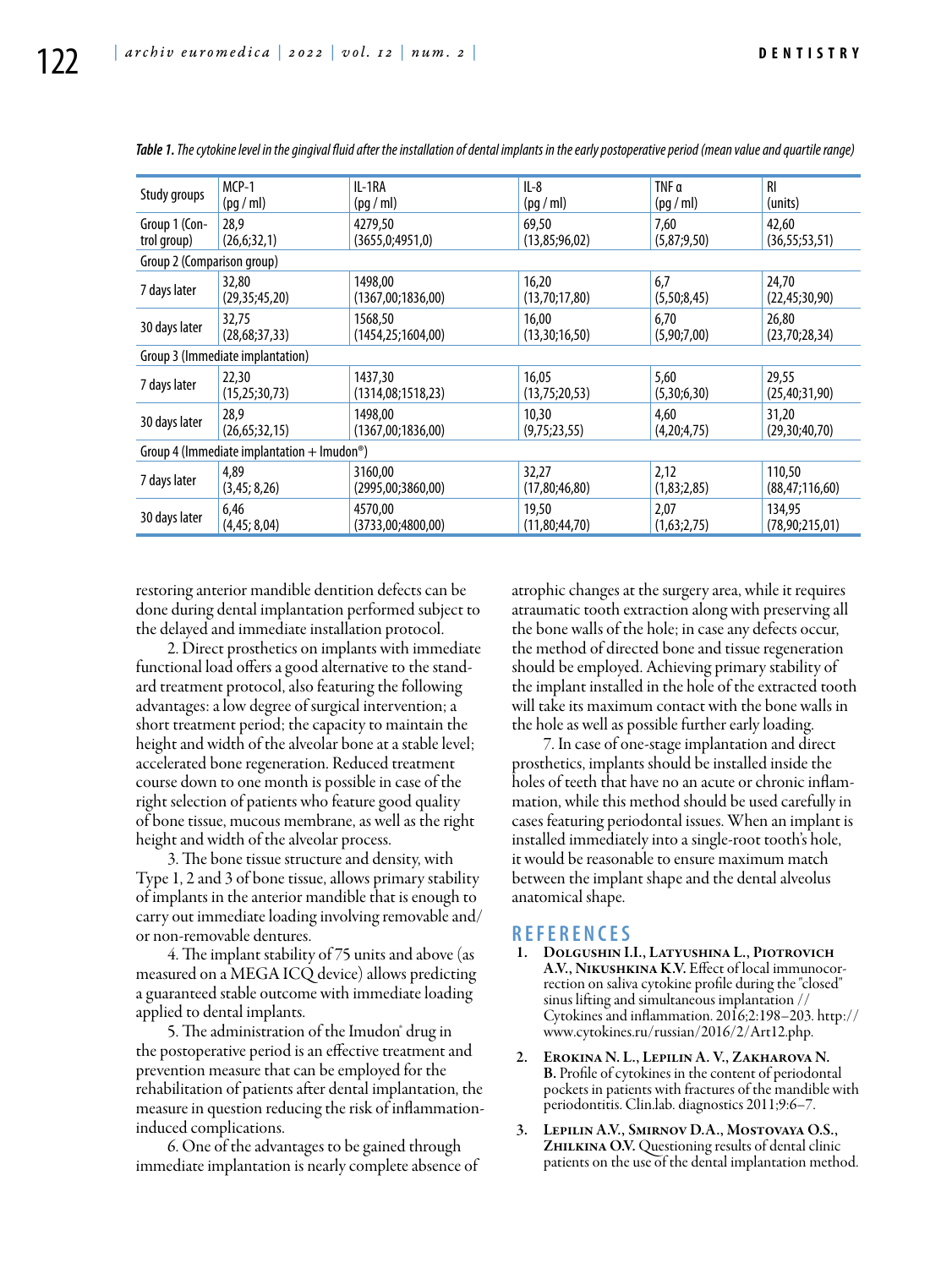| Study groups                                            | $MCP-1$          | IL-1RA               | $IL-8$        | TNF a       | <b>RI</b>         |
|---------------------------------------------------------|------------------|----------------------|---------------|-------------|-------------------|
|                                                         | (pq/ml)          | (pq/ml)              | (pq/ml)       | (pq/m!)     | (units)           |
| Group 1 (Con-                                           | 28.9             | 4279.50              | 69,50         | 7,60        | 42,60             |
| trol group)                                             | (26,6;32,1)      | (3655,0;4951,0)      | (13,85;96,02) | (5,87;9,50) | (36, 55; 53, 51)  |
| Group 2 (Comparison group)                              |                  |                      |               |             |                   |
| 7 days later                                            | 32,80            | 1498,00              | 16,20         | 6,7         | 24,70             |
|                                                         | (29,35;45,20)    | (1367,00;1836,00)    | (13,70;17,80) | (5,50;8,45) | (22, 45; 30, 90)  |
| 30 days later                                           | 32,75            | 1568.50              | 16.00         | 6,70        | 26,80             |
|                                                         | (28, 68; 37, 33) | (1454, 25; 1604, 00) | (13,30;16,50) | (5,90;7,00) | (23,70;28,34)     |
| Group 3 (Immediate implantation)                        |                  |                      |               |             |                   |
| 7 days later                                            | 22,30            | 1437.30              | 16,05         | 5,60        | 29,55             |
|                                                         | (15, 25; 30, 73) | (1314,08;1518,23)    | (13,75;20,53) | (5,30;6,30) | (25, 40; 31, 90)  |
| 30 days later                                           | 28,9             | 1498.00              | 10,30         | 4,60        | 31,20             |
|                                                         | (26, 65; 32, 15) | (1367,00;1836,00)    | (9,75;23,55)  | (4,20;4,75) | (29,30;40,70)     |
| Group 4 (Immediate implantation + Imudon <sup>®</sup> ) |                  |                      |               |             |                   |
| 7 days later                                            | 4.89             | 3160.00              | 32,27         | 2,12        | 110.50            |
|                                                         | (3,45; 8,26)     | (2995,00;3860,00)    | (17,80;46,80) | (1,83;2,85) | (88, 47; 116, 60) |
| 30 days later                                           | 6,46             | 4570,00              | 19,50         | 2,07        | 134,95            |
|                                                         | (4,45; 8,04)     | (3733,00;4800,00)    | (11,80;44,70) | (1,63;2,75) | (78,90;215,01)    |

*Table 1. The cytokine level in the gingival fluid after the installation of dental implants in the early postoperative period (mean value and quartile range)*

restoring anterior mandible dentition defects can be done during dental implantation performed subject to the delayed and immediate installation protocol.

2. Direct prosthetics on implants with immediate functional load offers a good alternative to the standard treatment protocol, also featuring the following advantages: a low degree of surgical intervention; a short treatment period; the capacity to maintain the height and width of the alveolar bone at a stable level; accelerated bone regeneration. Reduced treatment course down to one month is possible in case of the right selection of patients who feature good quality of bone tissue, mucous membrane, as well as the right height and width of the alveolar process.

3. The bone tissue structure and density, with Type 1, 2 and 3 of bone tissue, allows primary stability of implants in the anterior mandible that is enough to carry out immediate loading involving removable and/ or non-removable dentures.

4. The implant stability of 75 units and above (as measured on a MEGA ICQ device) allows predicting a guaranteed stable outcome with immediate loading applied to dental implants.

5. The administration of the Imudon<sup>®</sup> drug in the postoperative period is an effective treatment and prevention measure that can be employed for the rehabilitation of patients after dental implantation, the measure in question reducing the risk of inflammationinduced complications.

6. One of the advantages to be gained through immediate implantation is nearly complete absence of atrophic changes at the surgery area, while it requires atraumatic tooth extraction along with preserving all the bone walls of the hole; in case any defects occur, the method of directed bone and tissue regeneration should be employed. Achieving primary stability of the implant installed in the hole of the extracted tooth will take its maximum contact with the bone walls in the hole as well as possible further early loading.

7. In case of one-stage implantation and direct prosthetics, implants should be installed inside the holes of teeth that have no an acute or chronic inflammation, while this method should be used carefully in cases featuring periodontal issues. When an implant is installed immediately into a single-root tooth's hole, it would be reasonable to ensure maximum match between the implant shape and the dental alveolus anatomical shape.

- **<sup>R</sup> EFE <sup>R</sup> EN CES** 1. Dolgushin I.I., Latyushina L., Piotrovich A.V., Nikushkina K.V. Effect of local immunocor- rection on saliva cytokine profile during the "closed" sinus lifting and simultaneous implantation // Cytokines and inflammation. 2016;2:198–203. http:// www.cytokines.ru/russian/2016/2/Art12.php.
- 2. Erokina N. L., Lepilin A. V., Zakharova N. B. Profile of cytokines in the content of periodontal pockets in patients with fractures of the mandible with periodontitis. Сlin.lab. diagnostics 2011;9:6–7.
- 3. Lepilin A.V., Smirnov D.A., Mostovaya O.S., ZHILKINA O.V. Questioning results of dental clinic patients on the use of the dental implantation method.